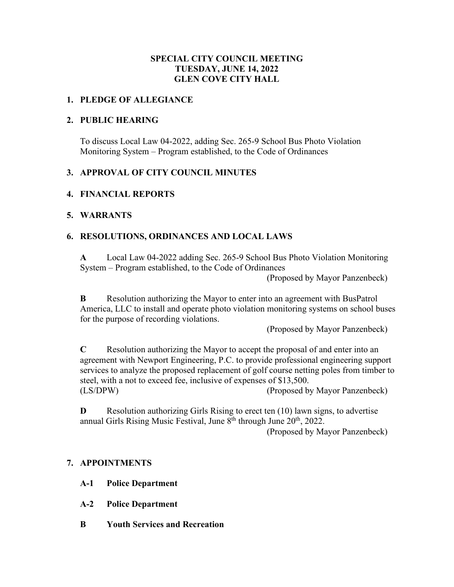## **SPECIAL CITY COUNCIL MEETING TUESDAY, JUNE 14, 2022 GLEN COVE CITY HALL**

#### **1. PLEDGE OF ALLEGIANCE**

#### **2. PUBLIC HEARING**

To discuss Local Law 04-2022, adding Sec. 265-9 School Bus Photo Violation Monitoring System – Program established, to the Code of Ordinances

## **3. APPROVAL OF CITY COUNCIL MINUTES**

## **4. FINANCIAL REPORTS**

#### **5. WARRANTS**

## **6. RESOLUTIONS, ORDINANCES AND LOCAL LAWS**

**A** Local Law 04-2022 adding Sec. 265-9 School Bus Photo Violation Monitoring System – Program established, to the Code of Ordinances

(Proposed by Mayor Panzenbeck)

**B** Resolution authorizing the Mayor to enter into an agreement with BusPatrol America, LLC to install and operate photo violation monitoring systems on school buses for the purpose of recording violations.

(Proposed by Mayor Panzenbeck)

**C** Resolution authorizing the Mayor to accept the proposal of and enter into an agreement with Newport Engineering, P.C. to provide professional engineering support services to analyze the proposed replacement of golf course netting poles from timber to steel, with a not to exceed fee, inclusive of expenses of \$13,500. (LS/DPW) (Proposed by Mayor Panzenbeck)

**D** Resolution authorizing Girls Rising to erect ten (10) lawn signs, to advertise annual Girls Rising Music Festival, June 8<sup>th</sup> through June 20<sup>th</sup>, 2022.

(Proposed by Mayor Panzenbeck)

## **7. APPOINTMENTS**

- **A-1 Police Department**
- **A-2 Police Department**
- **B Youth Services and Recreation**